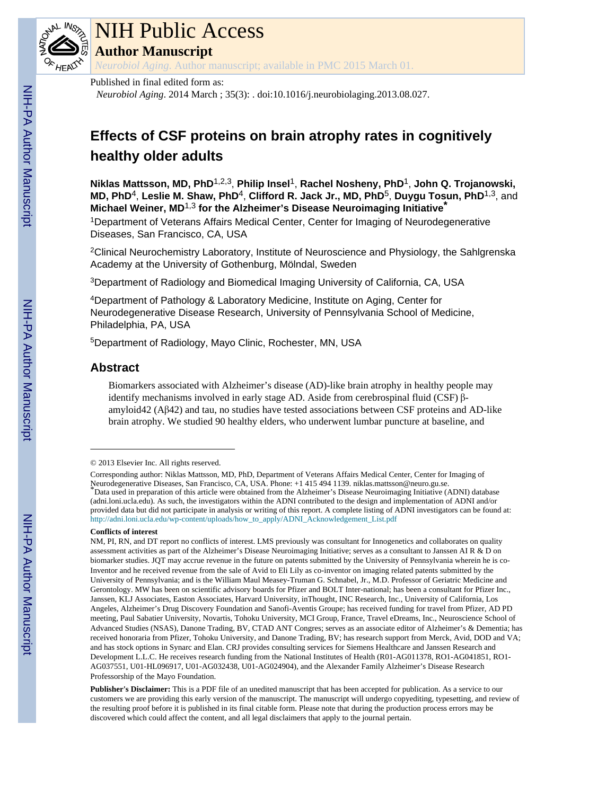

## NIH Public Access

**Author Manuscript**

*Neurobiol Aging*. Author manuscript; available in PMC 2015 March 01.

#### Published in final edited form as:

*Neurobiol Aging*. 2014 March ; 35(3): . doi:10.1016/j.neurobiolaging.2013.08.027.

### **Effects of CSF proteins on brain atrophy rates in cognitively healthy older adults**

**Niklas Mattsson, MD, PhD**1,2,3, **Philip Insel**1, **Rachel Nosheny, PhD**1, **John Q. Trojanowski, MD, PhD**4, **Leslie M. Shaw, PhD**4, **Clifford R. Jack Jr., MD, PhD**5, **Duygu Tosun, PhD**1,3, and **Michael Weiner, MD**1,3 **for the Alzheimer's Disease Neuroimaging Initiative\***

<sup>1</sup>Department of Veterans Affairs Medical Center, Center for Imaging of Neurodegenerative Diseases, San Francisco, CA, USA

<sup>2</sup>Clinical Neurochemistry Laboratory, Institute of Neuroscience and Physiology, the Sahlgrenska Academy at the University of Gothenburg, Mölndal, Sweden

<sup>3</sup>Department of Radiology and Biomedical Imaging University of California, CA, USA

<sup>4</sup>Department of Pathology & Laboratory Medicine, Institute on Aging, Center for Neurodegenerative Disease Research, University of Pennsylvania School of Medicine, Philadelphia, PA, USA

<sup>5</sup>Department of Radiology, Mayo Clinic, Rochester, MN, USA

#### **Abstract**

Biomarkers associated with Alzheimer's disease (AD)-like brain atrophy in healthy people may identify mechanisms involved in early stage AD. Aside from cerebrospinal fluid (CSF) βamyloid42 (Aβ42) and tau, no studies have tested associations between CSF proteins and AD-like brain atrophy. We studied 90 healthy elders, who underwent lumbar puncture at baseline, and

#### **Conflicts of interest**

**Publisher's Disclaimer:** This is a PDF file of an unedited manuscript that has been accepted for publication. As a service to our customers we are providing this early version of the manuscript. The manuscript will undergo copyediting, typesetting, and review of the resulting proof before it is published in its final citable form. Please note that during the production process errors may be discovered which could affect the content, and all legal disclaimers that apply to the journal pertain.

<sup>© 2013</sup> Elsevier Inc. All rights reserved.

Corresponding author: Niklas Mattsson, MD, PhD, Department of Veterans Affairs Medical Center, Center for Imaging of Neurodegenerative Diseases, San Francisco, CA, USA. Phone: +1 415 494 1139. niklas.mattsson@neuro.gu.se.<br><sup>\*</sup>Data used in preparation of this article were obtained from the Alzheimer's Disease Neuroimaging Initiative (ADNI) (adni.loni.ucla.edu). As such, the investigators within the ADNI contributed to the design and implementation of ADNI and/or provided data but did not participate in analysis or writing of this report. A complete listing of ADNI investigators can be found at: [http://adni.loni.ucla.edu/wp-content/uploads/how\\_to\\_apply/ADNI\\_Acknowledgement\\_List.pdf](http://adni.loni.ucla.edu/wp-content/uploads/how_to_apply/ADNI_Acknowledgement_List.pdf)

NM, PI, RN, and DT report no conflicts of interest. LMS previously was consultant for Innogenetics and collaborates on quality assessment activities as part of the Alzheimer's Disease Neuroimaging Initiative; serves as a consultant to Janssen AI R & D on biomarker studies. JQT may accrue revenue in the future on patents submitted by the University of Pennsylvania wherein he is co-Inventor and he received revenue from the sale of Avid to Eli Lily as co-inventor on imaging related patents submitted by the University of Pennsylvania; and is the William Maul Measey-Truman G. Schnabel, Jr., M.D. Professor of Geriatric Medicine and Gerontology. MW has been on scientific advisory boards for Pfizer and BOLT Inter-national; has been a consultant for Pfizer Inc., Janssen, KLJ Associates, Easton Associates, Harvard University, inThought, INC Research, Inc., University of California, Los Angeles, Alzheimer's Drug Discovery Foundation and Sanofi-Aventis Groupe; has received funding for travel from Pfizer, AD PD meeting, Paul Sabatier University, Novartis, Tohoku University, MCI Group, France, Travel eDreams, Inc., Neuroscience School of Advanced Studies (NSAS), Danone Trading, BV, CTAD ANT Congres; serves as an associate editor of Alzheimer's & Dementia; has received honoraria from Pfizer, Tohoku University, and Danone Trading, BV; has research support from Merck, Avid, DOD and VA; and has stock options in Synarc and Elan. CRJ provides consulting services for Siemens Healthcare and Janssen Research and Development L.L.C. He receives research funding from the National Institutes of Health (R01-AG011378, RO1-AG041851, RO1- AG037551, U01-HL096917, U01-AG032438, U01-AG024904), and the Alexander Family Alzheimer's Disease Research Professorship of the Mayo Foundation.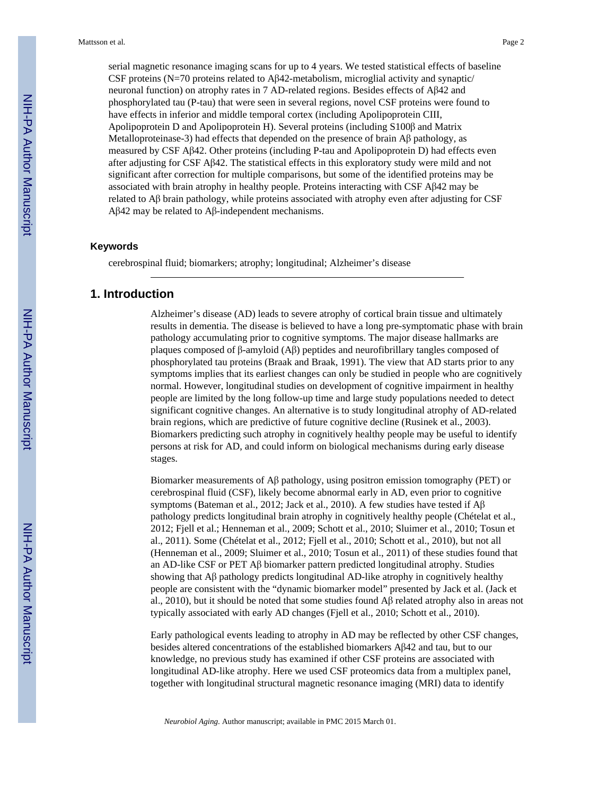serial magnetic resonance imaging scans for up to 4 years. We tested statistical effects of baseline CSF proteins (N=70 proteins related to Aβ42-metabolism, microglial activity and synaptic/ neuronal function) on atrophy rates in 7 AD-related regions. Besides effects of Aβ42 and phosphorylated tau (P-tau) that were seen in several regions, novel CSF proteins were found to have effects in inferior and middle temporal cortex (including Apolipoprotein CIII, Apolipoprotein D and Apolipoprotein H). Several proteins (including S100β and Matrix Metalloproteinase-3) had effects that depended on the presence of brain Aβ pathology, as measured by CSF Aβ42. Other proteins (including P-tau and Apolipoprotein D) had effects even after adjusting for CSF Aβ42. The statistical effects in this exploratory study were mild and not significant after correction for multiple comparisons, but some of the identified proteins may be associated with brain atrophy in healthy people. Proteins interacting with CSF Aβ42 may be related to Aβ brain pathology, while proteins associated with atrophy even after adjusting for CSF Aβ42 may be related to Aβ-independent mechanisms.

#### **Keywords**

cerebrospinal fluid; biomarkers; atrophy; longitudinal; Alzheimer's disease

#### **1. Introduction**

Alzheimer's disease (AD) leads to severe atrophy of cortical brain tissue and ultimately results in dementia. The disease is believed to have a long pre-symptomatic phase with brain pathology accumulating prior to cognitive symptoms. The major disease hallmarks are plaques composed of β-amyloid (Aβ) peptides and neurofibrillary tangles composed of phosphorylated tau proteins (Braak and Braak, 1991). The view that AD starts prior to any symptoms implies that its earliest changes can only be studied in people who are cognitively normal. However, longitudinal studies on development of cognitive impairment in healthy people are limited by the long follow-up time and large study populations needed to detect significant cognitive changes. An alternative is to study longitudinal atrophy of AD-related brain regions, which are predictive of future cognitive decline (Rusinek et al., 2003). Biomarkers predicting such atrophy in cognitively healthy people may be useful to identify persons at risk for AD, and could inform on biological mechanisms during early disease stages.

Biomarker measurements of Aβ pathology, using positron emission tomography (PET) or cerebrospinal fluid (CSF), likely become abnormal early in AD, even prior to cognitive symptoms (Bateman et al., 2012; Jack et al., 2010). A few studies have tested if  $A\beta$ pathology predicts longitudinal brain atrophy in cognitively healthy people (Chételat et al., 2012; Fjell et al.; Henneman et al., 2009; Schott et al., 2010; Sluimer et al., 2010; Tosun et al., 2011). Some (Chételat et al., 2012; Fjell et al., 2010; Schott et al., 2010), but not all (Henneman et al., 2009; Sluimer et al., 2010; Tosun et al., 2011) of these studies found that an AD-like CSF or PET Aβ biomarker pattern predicted longitudinal atrophy. Studies showing that  $\widehat{AB}$  pathology predicts longitudinal AD-like atrophy in cognitively healthy people are consistent with the "dynamic biomarker model" presented by Jack et al. (Jack et al., 2010), but it should be noted that some studies found Aβ related atrophy also in areas not typically associated with early AD changes (Fjell et al., 2010; Schott et al., 2010).

Early pathological events leading to atrophy in AD may be reflected by other CSF changes, besides altered concentrations of the established biomarkers Aβ42 and tau, but to our knowledge, no previous study has examined if other CSF proteins are associated with longitudinal AD-like atrophy. Here we used CSF proteomics data from a multiplex panel, together with longitudinal structural magnetic resonance imaging (MRI) data to identify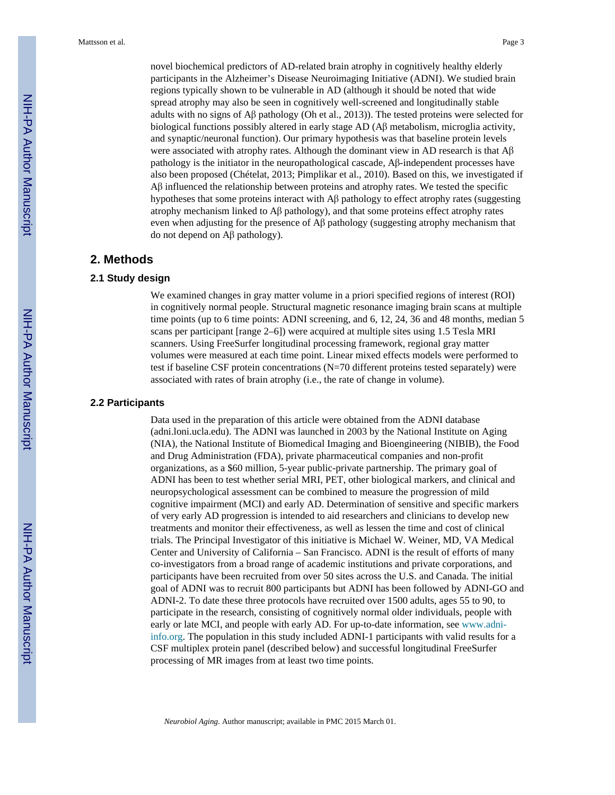novel biochemical predictors of AD-related brain atrophy in cognitively healthy elderly participants in the Alzheimer's Disease Neuroimaging Initiative (ADNI). We studied brain regions typically shown to be vulnerable in AD (although it should be noted that wide spread atrophy may also be seen in cognitively well-screened and longitudinally stable adults with no signs of Aβ pathology (Oh et al., 2013)). The tested proteins were selected for biological functions possibly altered in early stage AD (Aβ metabolism, microglia activity, and synaptic/neuronal function). Our primary hypothesis was that baseline protein levels were associated with atrophy rates. Although the dominant view in AD research is that  $A\beta$ pathology is the initiator in the neuropathological cascade, Aβ-independent processes have also been proposed (Chételat, 2013; Pimplikar et al., 2010). Based on this, we investigated if Aβ influenced the relationship between proteins and atrophy rates. We tested the specific hypotheses that some proteins interact with Aβ pathology to effect atrophy rates (suggesting atrophy mechanism linked to Aβ pathology), and that some proteins effect atrophy rates

#### **2. Methods**

#### **2.1 Study design**

do not depend on Aβ pathology).

We examined changes in gray matter volume in a priori specified regions of interest (ROI) in cognitively normal people. Structural magnetic resonance imaging brain scans at multiple time points (up to 6 time points: ADNI screening, and 6, 12, 24, 36 and 48 months, median 5 scans per participant [range 2–6]) were acquired at multiple sites using 1.5 Tesla MRI scanners. Using FreeSurfer longitudinal processing framework, regional gray matter volumes were measured at each time point. Linear mixed effects models were performed to test if baseline CSF protein concentrations (N=70 different proteins tested separately) were associated with rates of brain atrophy (i.e., the rate of change in volume).

even when adjusting for the presence of Aβ pathology (suggesting atrophy mechanism that

#### **2.2 Participants**

Data used in the preparation of this article were obtained from the ADNI database (adni.loni.ucla.edu). The ADNI was launched in 2003 by the National Institute on Aging (NIA), the National Institute of Biomedical Imaging and Bioengineering (NIBIB), the Food and Drug Administration (FDA), private pharmaceutical companies and non-profit organizations, as a \$60 million, 5-year public-private partnership. The primary goal of ADNI has been to test whether serial MRI, PET, other biological markers, and clinical and neuropsychological assessment can be combined to measure the progression of mild cognitive impairment (MCI) and early AD. Determination of sensitive and specific markers of very early AD progression is intended to aid researchers and clinicians to develop new treatments and monitor their effectiveness, as well as lessen the time and cost of clinical trials. The Principal Investigator of this initiative is Michael W. Weiner, MD, VA Medical Center and University of California – San Francisco. ADNI is the result of efforts of many co-investigators from a broad range of academic institutions and private corporations, and participants have been recruited from over 50 sites across the U.S. and Canada. The initial goal of ADNI was to recruit 800 participants but ADNI has been followed by ADNI-GO and ADNI-2. To date these three protocols have recruited over 1500 adults, ages 55 to 90, to participate in the research, consisting of cognitively normal older individuals, people with early or late MCI, and people with early AD. For up-to-date information, see www.adniinfo.org. The population in this study included ADNI-1 participants with valid results for a CSF multiplex protein panel (described below) and successful longitudinal FreeSurfer processing of MR images from at least two time points.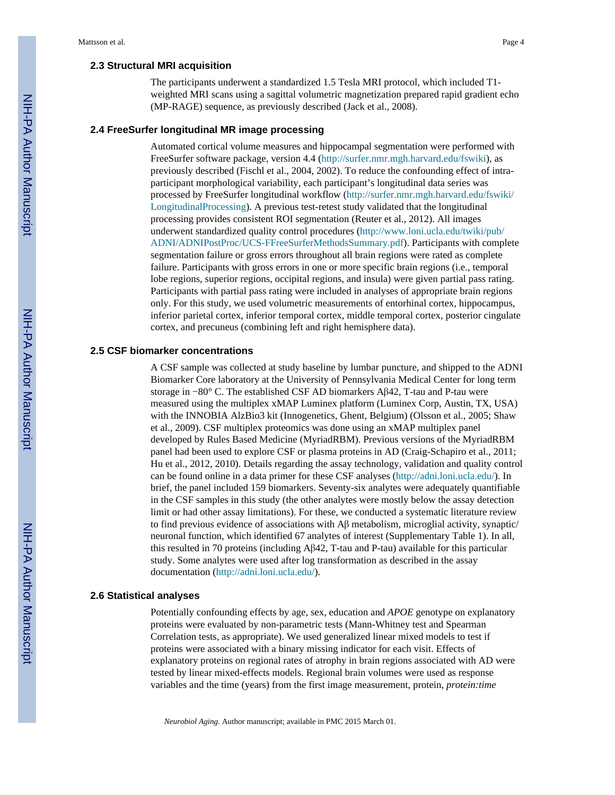#### **2.3 Structural MRI acquisition**

The participants underwent a standardized 1.5 Tesla MRI protocol, which included T1 weighted MRI scans using a sagittal volumetric magnetization prepared rapid gradient echo (MP-RAGE) sequence, as previously described (Jack et al., 2008).

#### **2.4 FreeSurfer longitudinal MR image processing**

Automated cortical volume measures and hippocampal segmentation were performed with FreeSurfer software package, version 4.4 [\(http://surfer.nmr.mgh.harvard.edu/fswiki](http://surfer.nmr.mgh.harvard.edu/fswiki)), as previously described (Fischl et al., 2004, 2002). To reduce the confounding effect of intraparticipant morphological variability, each participant's longitudinal data series was processed by FreeSurfer longitudinal workflow [\(http://surfer.nmr.mgh.harvard.edu/fswiki/](http://surfer.nmr.mgh.harvard.edu/fswiki/LongitudinalProcessing) [LongitudinalProcessing](http://surfer.nmr.mgh.harvard.edu/fswiki/LongitudinalProcessing)). A previous test-retest study validated that the longitudinal processing provides consistent ROI segmentation (Reuter et al., 2012). All images underwent standardized quality control procedures ([http://www.loni.ucla.edu/twiki/pub/](http://www.loni.ucla.edu/twiki/pub/ADNI/ADNIPostProc/UCS-FFreeSurferMethodsSummary.pdf) [ADNI/ADNIPostProc/UCS-FFreeSurferMethodsSummary.pdf\)](http://www.loni.ucla.edu/twiki/pub/ADNI/ADNIPostProc/UCS-FFreeSurferMethodsSummary.pdf). Participants with complete segmentation failure or gross errors throughout all brain regions were rated as complete failure. Participants with gross errors in one or more specific brain regions (i.e., temporal lobe regions, superior regions, occipital regions, and insula) were given partial pass rating. Participants with partial pass rating were included in analyses of appropriate brain regions only. For this study, we used volumetric measurements of entorhinal cortex, hippocampus, inferior parietal cortex, inferior temporal cortex, middle temporal cortex, posterior cingulate cortex, and precuneus (combining left and right hemisphere data).

#### **2.5 CSF biomarker concentrations**

A CSF sample was collected at study baseline by lumbar puncture, and shipped to the ADNI Biomarker Core laboratory at the University of Pennsylvania Medical Center for long term storage in −80° C. The established CSF AD biomarkers Aβ42, T-tau and P-tau were measured using the multiplex xMAP Luminex platform (Luminex Corp, Austin, TX, USA) with the INNOBIA AlzBio3 kit (Innogenetics, Ghent, Belgium) (Olsson et al., 2005; Shaw et al., 2009). CSF multiplex proteomics was done using an xMAP multiplex panel developed by Rules Based Medicine (MyriadRBM). Previous versions of the MyriadRBM panel had been used to explore CSF or plasma proteins in AD (Craig-Schapiro et al., 2011; Hu et al., 2012, 2010). Details regarding the assay technology, validation and quality control can be found online in a data primer for these CSF analyses [\(http://adni.loni.ucla.edu/](http://adni.loni.ucla.edu/)). In brief, the panel included 159 biomarkers. Seventy-six analytes were adequately quantifiable in the CSF samples in this study (the other analytes were mostly below the assay detection limit or had other assay limitations). For these, we conducted a systematic literature review to find previous evidence of associations with  $\mathbf{A}\beta$  metabolism, microglial activity, synaptic/ neuronal function, which identified 67 analytes of interest (Supplementary Table 1). In all, this resulted in 70 proteins (including Aβ42, T-tau and P-tau) available for this particular study. Some analytes were used after log transformation as described in the assay documentation [\(http://adni.loni.ucla.edu/](http://adni.loni.ucla.edu/)).

#### **2.6 Statistical analyses**

Potentially confounding effects by age, sex, education and *APOE* genotype on explanatory proteins were evaluated by non-parametric tests (Mann-Whitney test and Spearman Correlation tests, as appropriate). We used generalized linear mixed models to test if proteins were associated with a binary missing indicator for each visit. Effects of explanatory proteins on regional rates of atrophy in brain regions associated with AD were tested by linear mixed-effects models. Regional brain volumes were used as response variables and the time (years) from the first image measurement, protein, *protein:time*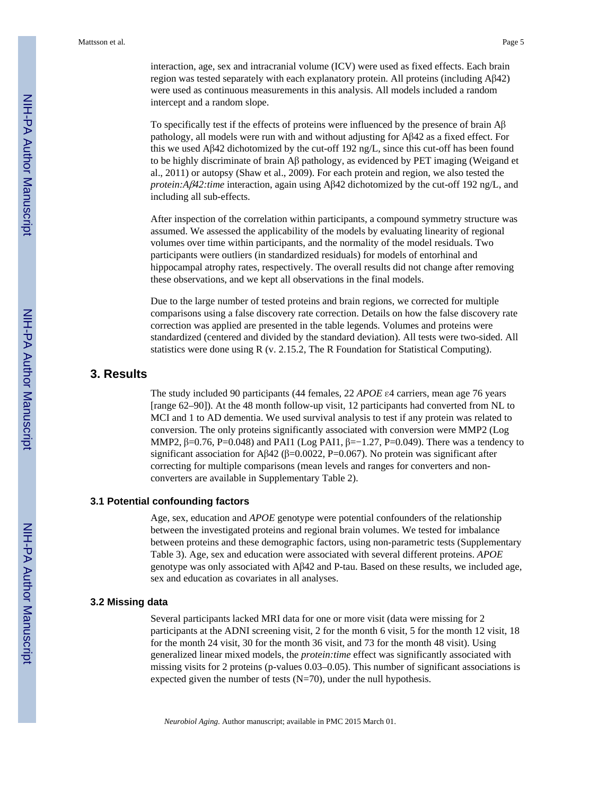interaction, age, sex and intracranial volume (ICV) were used as fixed effects. Each brain region was tested separately with each explanatory protein. All proteins (including Aβ42) were used as continuous measurements in this analysis. All models included a random intercept and a random slope.

To specifically test if the effects of proteins were influenced by the presence of brain  $\mathbf{A}\mathbf{\beta}$ pathology, all models were run with and without adjusting for Aβ42 as a fixed effect. For this we used Aβ42 dichotomized by the cut-off 192 ng/L, since this cut-off has been found to be highly discriminate of brain Aβ pathology, as evidenced by PET imaging (Weigand et al., 2011) or autopsy (Shaw et al., 2009). For each protein and region, we also tested the *protein:A*β*42:time* interaction, again using Aβ42 dichotomized by the cut-off 192 ng/L, and including all sub-effects.

After inspection of the correlation within participants, a compound symmetry structure was assumed. We assessed the applicability of the models by evaluating linearity of regional volumes over time within participants, and the normality of the model residuals. Two participants were outliers (in standardized residuals) for models of entorhinal and hippocampal atrophy rates, respectively. The overall results did not change after removing these observations, and we kept all observations in the final models.

Due to the large number of tested proteins and brain regions, we corrected for multiple comparisons using a false discovery rate correction. Details on how the false discovery rate correction was applied are presented in the table legends. Volumes and proteins were standardized (centered and divided by the standard deviation). All tests were two-sided. All statistics were done using R (v. 2.15.2, The R Foundation for Statistical Computing).

#### **3. Results**

The study included 90 participants (44 females, 22 *APOE* ε4 carriers, mean age 76 years [range 62–90]). At the 48 month follow-up visit, 12 participants had converted from NL to MCI and 1 to AD dementia. We used survival analysis to test if any protein was related to conversion. The only proteins significantly associated with conversion were MMP2 (Log MMP2,  $\beta$ =0.76, P=0.048) and PAI1 (Log PAI1,  $\beta$ =-1.27, P=0.049). There was a tendency to significant association for A $\beta$ 42 ( $\beta$ =0.0022, P=0.067). No protein was significant after correcting for multiple comparisons (mean levels and ranges for converters and nonconverters are available in Supplementary Table 2).

#### **3.1 Potential confounding factors**

Age, sex, education and *APOE* genotype were potential confounders of the relationship between the investigated proteins and regional brain volumes. We tested for imbalance between proteins and these demographic factors, using non-parametric tests (Supplementary Table 3). Age, sex and education were associated with several different proteins. *APOE* genotype was only associated with Aβ42 and P-tau. Based on these results, we included age, sex and education as covariates in all analyses.

#### **3.2 Missing data**

Several participants lacked MRI data for one or more visit (data were missing for 2 participants at the ADNI screening visit, 2 for the month 6 visit, 5 for the month 12 visit, 18 for the month 24 visit, 30 for the month 36 visit, and 73 for the month 48 visit). Using generalized linear mixed models, the *protein:time* effect was significantly associated with missing visits for 2 proteins (p-values 0.03–0.05). This number of significant associations is expected given the number of tests  $(N=70)$ , under the null hypothesis.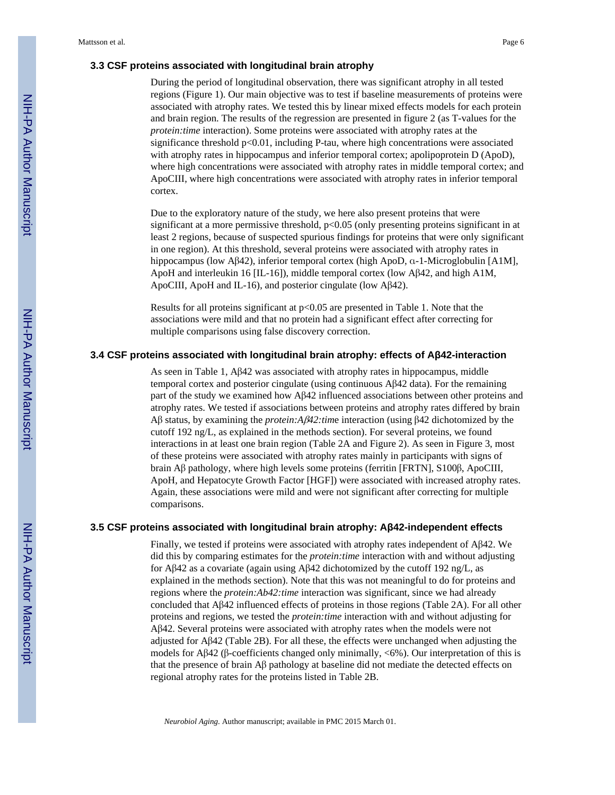#### **3.3 CSF proteins associated with longitudinal brain atrophy**

During the period of longitudinal observation, there was significant atrophy in all tested regions (Figure 1). Our main objective was to test if baseline measurements of proteins were associated with atrophy rates. We tested this by linear mixed effects models for each protein and brain region. The results of the regression are presented in figure 2 (as T-values for the *protein:time* interaction). Some proteins were associated with atrophy rates at the significance threshold  $p<0.01$ , including P-tau, where high concentrations were associated with atrophy rates in hippocampus and inferior temporal cortex; apolipoprotein D (ApoD), where high concentrations were associated with atrophy rates in middle temporal cortex; and ApoCIII, where high concentrations were associated with atrophy rates in inferior temporal cortex.

Due to the exploratory nature of the study, we here also present proteins that were significant at a more permissive threshold,  $p<0.05$  (only presenting proteins significant in at least 2 regions, because of suspected spurious findings for proteins that were only significant in one region). At this threshold, several proteins were associated with atrophy rates in hippocampus (low Aβ42), inferior temporal cortex (high ApoD, α-1-Microglobulin [A1M], ApoH and interleukin 16 [IL-16]), middle temporal cortex (low Aβ42, and high A1M, ApoCIII, ApoH and IL-16), and posterior cingulate (low Aβ42).

Results for all proteins significant at p<0.05 are presented in Table 1. Note that the associations were mild and that no protein had a significant effect after correcting for multiple comparisons using false discovery correction.

#### **3.4 CSF proteins associated with longitudinal brain atrophy: effects of Aβ42-interaction**

As seen in Table 1, Aβ42 was associated with atrophy rates in hippocampus, middle temporal cortex and posterior cingulate (using continuous Aβ42 data). For the remaining part of the study we examined how Aβ42 influenced associations between other proteins and atrophy rates. We tested if associations between proteins and atrophy rates differed by brain Aβ status, by examining the *protein:A*β*42:tim*e interaction (using β42 dichotomized by the cutoff 192 ng/L, as explained in the methods section). For several proteins, we found interactions in at least one brain region (Table 2A and Figure 2). As seen in Figure 3, most of these proteins were associated with atrophy rates mainly in participants with signs of brain Aβ pathology, where high levels some proteins (ferritin [FRTN], S100β, ApoCIII, ApoH, and Hepatocyte Growth Factor [HGF]) were associated with increased atrophy rates. Again, these associations were mild and were not significant after correcting for multiple comparisons.

#### **3.5 CSF proteins associated with longitudinal brain atrophy: Aβ42-independent effects**

Finally, we tested if proteins were associated with atrophy rates independent of Aβ42. We did this by comparing estimates for the *protein:time* interaction with and without adjusting for Aβ42 as a covariate (again using Aβ42 dichotomized by the cutoff 192 ng/L, as explained in the methods section). Note that this was not meaningful to do for proteins and regions where the *protein:Ab42:time* interaction was significant, since we had already concluded that Aβ42 influenced effects of proteins in those regions (Table 2A). For all other proteins and regions, we tested the *protein:time* interaction with and without adjusting for Aβ42. Several proteins were associated with atrophy rates when the models were not adjusted for  $\Delta \beta$ 42 (Table 2B). For all these, the effects were unchanged when adjusting the models for Aβ42 (β-coefficients changed only minimally, <6%). Our interpretation of this is that the presence of brain Aβ pathology at baseline did not mediate the detected effects on regional atrophy rates for the proteins listed in Table 2B.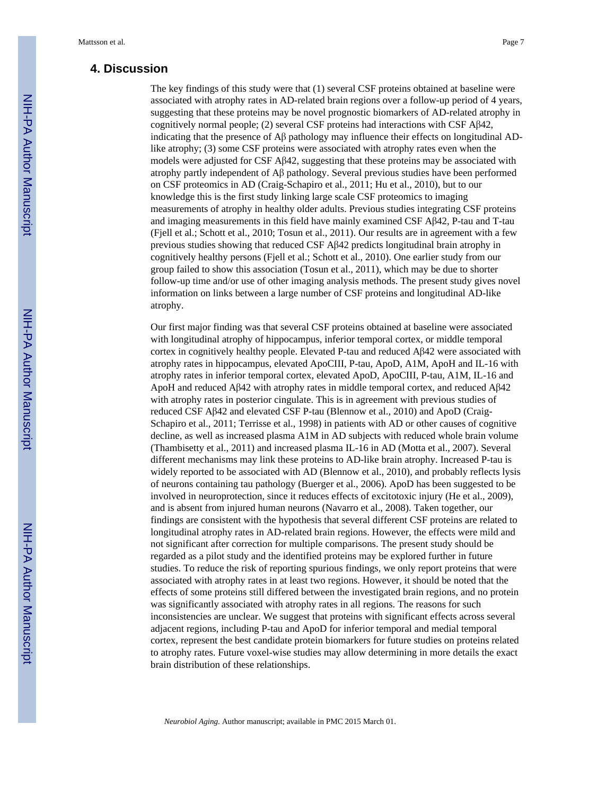#### **4. Discussion**

The key findings of this study were that (1) several CSF proteins obtained at baseline were associated with atrophy rates in AD-related brain regions over a follow-up period of 4 years, suggesting that these proteins may be novel prognostic biomarkers of AD-related atrophy in cognitively normal people; (2) several CSF proteins had interactions with CSF Aβ42, indicating that the presence of Aβ pathology may influence their effects on longitudinal ADlike atrophy; (3) some CSF proteins were associated with atrophy rates even when the models were adjusted for CSF Aβ42, suggesting that these proteins may be associated with atrophy partly independent of Aβ pathology. Several previous studies have been performed on CSF proteomics in AD (Craig-Schapiro et al., 2011; Hu et al., 2010), but to our knowledge this is the first study linking large scale CSF proteomics to imaging measurements of atrophy in healthy older adults. Previous studies integrating CSF proteins and imaging measurements in this field have mainly examined CSF Aβ42, P-tau and T-tau (Fjell et al.; Schott et al., 2010; Tosun et al., 2011). Our results are in agreement with a few previous studies showing that reduced CSF Aβ42 predicts longitudinal brain atrophy in cognitively healthy persons (Fjell et al.; Schott et al., 2010). One earlier study from our group failed to show this association (Tosun et al., 2011), which may be due to shorter follow-up time and/or use of other imaging analysis methods. The present study gives novel information on links between a large number of CSF proteins and longitudinal AD-like atrophy.

Our first major finding was that several CSF proteins obtained at baseline were associated with longitudinal atrophy of hippocampus, inferior temporal cortex, or middle temporal cortex in cognitively healthy people. Elevated P-tau and reduced  $A\beta 42$  were associated with atrophy rates in hippocampus, elevated ApoCIII, P-tau, ApoD, A1M, ApoH and IL-16 with atrophy rates in inferior temporal cortex, elevated ApoD, ApoCIII, P-tau, A1M, IL-16 and ApoH and reduced Aβ42 with atrophy rates in middle temporal cortex, and reduced Aβ42 with atrophy rates in posterior cingulate. This is in agreement with previous studies of reduced CSF Aβ42 and elevated CSF P-tau (Blennow et al., 2010) and ApoD (Craig-Schapiro et al., 2011; Terrisse et al., 1998) in patients with AD or other causes of cognitive decline, as well as increased plasma A1M in AD subjects with reduced whole brain volume (Thambisetty et al., 2011) and increased plasma IL-16 in AD (Motta et al., 2007). Several different mechanisms may link these proteins to AD-like brain atrophy. Increased P-tau is widely reported to be associated with AD (Blennow et al., 2010), and probably reflects lysis of neurons containing tau pathology (Buerger et al., 2006). ApoD has been suggested to be involved in neuroprotection, since it reduces effects of excitotoxic injury (He et al., 2009), and is absent from injured human neurons (Navarro et al., 2008). Taken together, our findings are consistent with the hypothesis that several different CSF proteins are related to longitudinal atrophy rates in AD-related brain regions. However, the effects were mild and not significant after correction for multiple comparisons. The present study should be regarded as a pilot study and the identified proteins may be explored further in future studies. To reduce the risk of reporting spurious findings, we only report proteins that were associated with atrophy rates in at least two regions. However, it should be noted that the effects of some proteins still differed between the investigated brain regions, and no protein was significantly associated with atrophy rates in all regions. The reasons for such inconsistencies are unclear. We suggest that proteins with significant effects across several adjacent regions, including P-tau and ApoD for inferior temporal and medial temporal cortex, represent the best candidate protein biomarkers for future studies on proteins related to atrophy rates. Future voxel-wise studies may allow determining in more details the exact brain distribution of these relationships.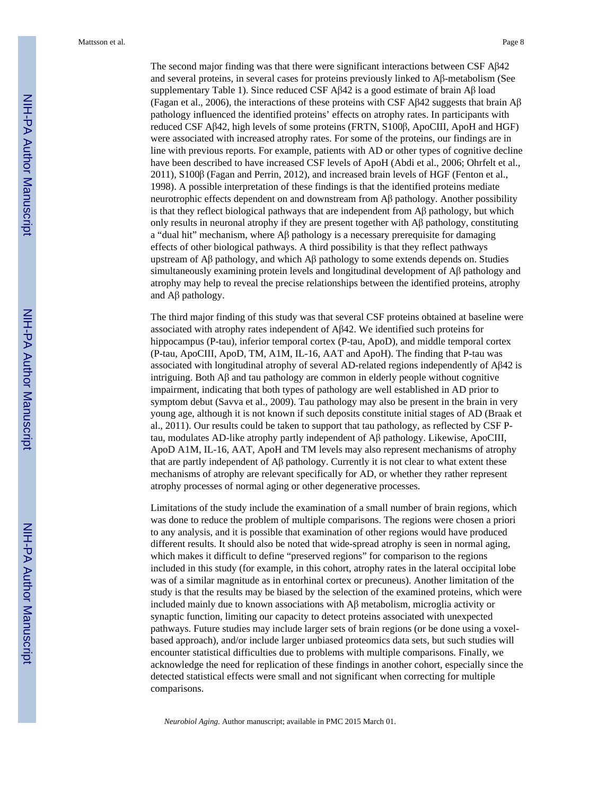The second major finding was that there were significant interactions between CSF Aβ42 and several proteins, in several cases for proteins previously linked to Aβ-metabolism (See supplementary Table 1). Since reduced CSF Aβ42 is a good estimate of brain Aβ load (Fagan et al., 2006), the interactions of these proteins with CSF A $\beta$ 42 suggests that brain A $\beta$ pathology influenced the identified proteins' effects on atrophy rates. In participants with reduced CSF Aβ42, high levels of some proteins (FRTN, S100β, ApoCIII, ApoH and HGF) were associated with increased atrophy rates. For some of the proteins, our findings are in line with previous reports. For example, patients with AD or other types of cognitive decline have been described to have increased CSF levels of ApoH (Abdi et al., 2006; Ohrfelt et al., 2011), S100β (Fagan and Perrin, 2012), and increased brain levels of HGF (Fenton et al., 1998). A possible interpretation of these findings is that the identified proteins mediate neurotrophic effects dependent on and downstream from Aβ pathology. Another possibility is that they reflect biological pathways that are independent from  $\mathbf{A}\beta$  pathology, but which only results in neuronal atrophy if they are present together with  $\mathcal{A}\beta$  pathology, constituting a "dual hit" mechanism, where  $\text{A}\beta$  pathology is a necessary prerequisite for damaging effects of other biological pathways. A third possibility is that they reflect pathways upstream of  $\beta$ β pathology, and which  $\beta$ β pathology to some extends depends on. Studies simultaneously examining protein levels and longitudinal development of Aβ pathology and atrophy may help to reveal the precise relationships between the identified proteins, atrophy and Aβ pathology.

The third major finding of this study was that several CSF proteins obtained at baseline were associated with atrophy rates independent of Aβ42. We identified such proteins for hippocampus (P-tau), inferior temporal cortex (P-tau, ApoD), and middle temporal cortex (P-tau, ApoCIII, ApoD, TM, A1M, IL-16, AAT and ApoH). The finding that P-tau was associated with longitudinal atrophy of several AD-related regions independently of  $\mathbf{A}\beta 42$  is intriguing. Both Aβ and tau pathology are common in elderly people without cognitive impairment, indicating that both types of pathology are well established in AD prior to symptom debut (Savva et al., 2009). Tau pathology may also be present in the brain in very young age, although it is not known if such deposits constitute initial stages of AD (Braak et al., 2011). Our results could be taken to support that tau pathology, as reflected by CSF Ptau, modulates AD-like atrophy partly independent of Aβ pathology. Likewise, ApoCIII, ApoD A1M, IL-16, AAT, ApoH and TM levels may also represent mechanisms of atrophy that are partly independent of  $\mathsf{A}\beta$  pathology. Currently it is not clear to what extent these mechanisms of atrophy are relevant specifically for AD, or whether they rather represent atrophy processes of normal aging or other degenerative processes.

Limitations of the study include the examination of a small number of brain regions, which was done to reduce the problem of multiple comparisons. The regions were chosen a priori to any analysis, and it is possible that examination of other regions would have produced different results. It should also be noted that wide-spread atrophy is seen in normal aging, which makes it difficult to define "preserved regions" for comparison to the regions included in this study (for example, in this cohort, atrophy rates in the lateral occipital lobe was of a similar magnitude as in entorhinal cortex or precuneus). Another limitation of the study is that the results may be biased by the selection of the examined proteins, which were included mainly due to known associations with Aβ metabolism, microglia activity or synaptic function, limiting our capacity to detect proteins associated with unexpected pathways. Future studies may include larger sets of brain regions (or be done using a voxelbased approach), and/or include larger unbiased proteomics data sets, but such studies will encounter statistical difficulties due to problems with multiple comparisons. Finally, we acknowledge the need for replication of these findings in another cohort, especially since the detected statistical effects were small and not significant when correcting for multiple comparisons.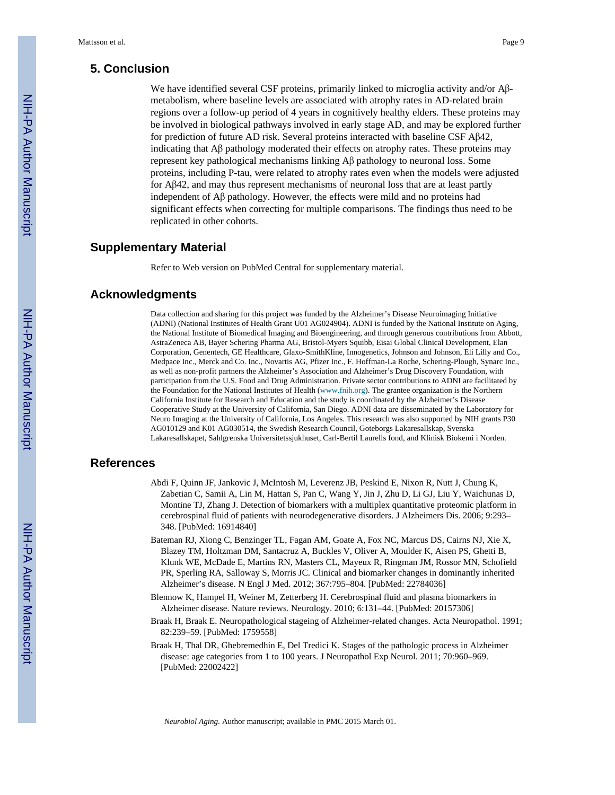#### **5. Conclusion**

We have identified several CSF proteins, primarily linked to microglia activity and/or Aβmetabolism, where baseline levels are associated with atrophy rates in AD-related brain regions over a follow-up period of 4 years in cognitively healthy elders. These proteins may be involved in biological pathways involved in early stage AD, and may be explored further for prediction of future AD risk. Several proteins interacted with baseline CSF Aβ42, indicating that Aβ pathology moderated their effects on atrophy rates. These proteins may represent key pathological mechanisms linking Aβ pathology to neuronal loss. Some proteins, including P-tau, were related to atrophy rates even when the models were adjusted for Aβ42, and may thus represent mechanisms of neuronal loss that are at least partly independent of Aβ pathology. However, the effects were mild and no proteins had significant effects when correcting for multiple comparisons. The findings thus need to be replicated in other cohorts.

#### **Supplementary Material**

Refer to Web version on PubMed Central for supplementary material.

#### **Acknowledgments**

Data collection and sharing for this project was funded by the Alzheimer's Disease Neuroimaging Initiative (ADNI) (National Institutes of Health Grant U01 AG024904). ADNI is funded by the National Institute on Aging, the National Institute of Biomedical Imaging and Bioengineering, and through generous contributions from Abbott, AstraZeneca AB, Bayer Schering Pharma AG, Bristol-Myers Squibb, Eisai Global Clinical Development, Elan Corporation, Genentech, GE Healthcare, Glaxo-SmithKline, Innogenetics, Johnson and Johnson, Eli Lilly and Co., Medpace Inc., Merck and Co. Inc., Novartis AG, Pfizer Inc., F. Hoffman-La Roche, Schering-Plough, Synarc Inc., as well as non-profit partners the Alzheimer's Association and Alzheimer's Drug Discovery Foundation, with participation from the U.S. Food and Drug Administration. Private sector contributions to ADNI are facilitated by the Foundation for the National Institutes of Health (www.fnih.org). The grantee organization is the Northern California Institute for Research and Education and the study is coordinated by the Alzheimer's Disease Cooperative Study at the University of California, San Diego. ADNI data are disseminated by the Laboratory for Neuro Imaging at the University of California, Los Angeles. This research was also supported by NIH grants P30 AG010129 and K01 AG030514, the Swedish Research Council, Goteborgs Lakaresallskap, Svenska Lakaresallskapet, Sahlgrenska Universitetssjukhuset, Carl-Bertil Laurells fond, and Klinisk Biokemi i Norden.

#### **References**

- Abdi F, Quinn JF, Jankovic J, McIntosh M, Leverenz JB, Peskind E, Nixon R, Nutt J, Chung K, Zabetian C, Samii A, Lin M, Hattan S, Pan C, Wang Y, Jin J, Zhu D, Li GJ, Liu Y, Waichunas D, Montine TJ, Zhang J. Detection of biomarkers with a multiplex quantitative proteomic platform in cerebrospinal fluid of patients with neurodegenerative disorders. J Alzheimers Dis. 2006; 9:293– 348. [PubMed: 16914840]
- Bateman RJ, Xiong C, Benzinger TL, Fagan AM, Goate A, Fox NC, Marcus DS, Cairns NJ, Xie X, Blazey TM, Holtzman DM, Santacruz A, Buckles V, Oliver A, Moulder K, Aisen PS, Ghetti B, Klunk WE, McDade E, Martins RN, Masters CL, Mayeux R, Ringman JM, Rossor MN, Schofield PR, Sperling RA, Salloway S, Morris JC. Clinical and biomarker changes in dominantly inherited Alzheimer's disease. N Engl J Med. 2012; 367:795–804. [PubMed: 22784036]
- Blennow K, Hampel H, Weiner M, Zetterberg H. Cerebrospinal fluid and plasma biomarkers in Alzheimer disease. Nature reviews. Neurology. 2010; 6:131–44. [PubMed: 20157306]
- Braak H, Braak E. Neuropathological stageing of Alzheimer-related changes. Acta Neuropathol. 1991; 82:239–59. [PubMed: 1759558]
- Braak H, Thal DR, Ghebremedhin E, Del Tredici K. Stages of the pathologic process in Alzheimer disease: age categories from 1 to 100 years. J Neuropathol Exp Neurol. 2011; 70:960–969. [PubMed: 22002422]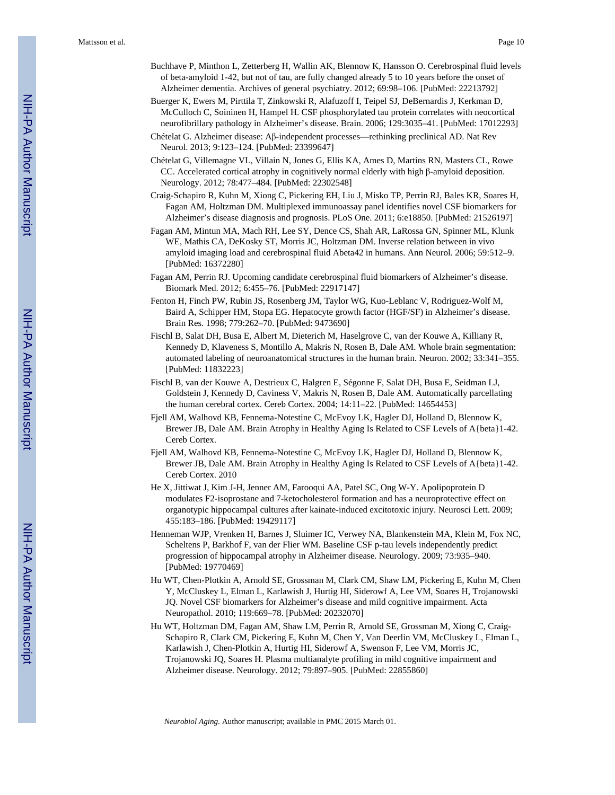- Buchhave P, Minthon L, Zetterberg H, Wallin AK, Blennow K, Hansson O. Cerebrospinal fluid levels of beta-amyloid 1-42, but not of tau, are fully changed already 5 to 10 years before the onset of Alzheimer dementia. Archives of general psychiatry. 2012; 69:98–106. [PubMed: 22213792]
- Buerger K, Ewers M, Pirttila T, Zinkowski R, Alafuzoff I, Teipel SJ, DeBernardis J, Kerkman D, McCulloch C, Soininen H, Hampel H. CSF phosphorylated tau protein correlates with neocortical neurofibrillary pathology in Alzheimer's disease. Brain. 2006; 129:3035–41. [PubMed: 17012293]
- Chételat G. Alzheimer disease: Aβ-independent processes—rethinking preclinical AD. Nat Rev Neurol. 2013; 9:123–124. [PubMed: 23399647]
- Chételat G, Villemagne VL, Villain N, Jones G, Ellis KA, Ames D, Martins RN, Masters CL, Rowe CC. Accelerated cortical atrophy in cognitively normal elderly with high β-amyloid deposition. Neurology. 2012; 78:477–484. [PubMed: 22302548]
- Craig-Schapiro R, Kuhn M, Xiong C, Pickering EH, Liu J, Misko TP, Perrin RJ, Bales KR, Soares H, Fagan AM, Holtzman DM. Multiplexed immunoassay panel identifies novel CSF biomarkers for Alzheimer's disease diagnosis and prognosis. PLoS One. 2011; 6:e18850. [PubMed: 21526197]
- Fagan AM, Mintun MA, Mach RH, Lee SY, Dence CS, Shah AR, LaRossa GN, Spinner ML, Klunk WE, Mathis CA, DeKosky ST, Morris JC, Holtzman DM. Inverse relation between in vivo amyloid imaging load and cerebrospinal fluid Abeta42 in humans. Ann Neurol. 2006; 59:512–9. [PubMed: 16372280]
- Fagan AM, Perrin RJ. Upcoming candidate cerebrospinal fluid biomarkers of Alzheimer's disease. Biomark Med. 2012; 6:455–76. [PubMed: 22917147]
- Fenton H, Finch PW, Rubin JS, Rosenberg JM, Taylor WG, Kuo-Leblanc V, Rodriguez-Wolf M, Baird A, Schipper HM, Stopa EG. Hepatocyte growth factor (HGF/SF) in Alzheimer's disease. Brain Res. 1998; 779:262–70. [PubMed: 9473690]
- Fischl B, Salat DH, Busa E, Albert M, Dieterich M, Haselgrove C, van der Kouwe A, Killiany R, Kennedy D, Klaveness S, Montillo A, Makris N, Rosen B, Dale AM. Whole brain segmentation: automated labeling of neuroanatomical structures in the human brain. Neuron. 2002; 33:341–355. [PubMed: 11832223]
- Fischl B, van der Kouwe A, Destrieux C, Halgren E, Ségonne F, Salat DH, Busa E, Seidman LJ, Goldstein J, Kennedy D, Caviness V, Makris N, Rosen B, Dale AM. Automatically parcellating the human cerebral cortex. Cereb Cortex. 2004; 14:11–22. [PubMed: 14654453]
- Fjell AM, Walhovd KB, Fennema-Notestine C, McEvoy LK, Hagler DJ, Holland D, Blennow K, Brewer JB, Dale AM. Brain Atrophy in Healthy Aging Is Related to CSF Levels of A{beta}1-42. Cereb Cortex.
- Fjell AM, Walhovd KB, Fennema-Notestine C, McEvoy LK, Hagler DJ, Holland D, Blennow K, Brewer JB, Dale AM. Brain Atrophy in Healthy Aging Is Related to CSF Levels of A{beta}1-42. Cereb Cortex. 2010
- He X, Jittiwat J, Kim J-H, Jenner AM, Farooqui AA, Patel SC, Ong W-Y. Apolipoprotein D modulates F2-isoprostane and 7-ketocholesterol formation and has a neuroprotective effect on organotypic hippocampal cultures after kainate-induced excitotoxic injury. Neurosci Lett. 2009; 455:183–186. [PubMed: 19429117]
- Henneman WJP, Vrenken H, Barnes J, Sluimer IC, Verwey NA, Blankenstein MA, Klein M, Fox NC, Scheltens P, Barkhof F, van der Flier WM. Baseline CSF p-tau levels independently predict progression of hippocampal atrophy in Alzheimer disease. Neurology. 2009; 73:935–940. [PubMed: 19770469]
- Hu WT, Chen-Plotkin A, Arnold SE, Grossman M, Clark CM, Shaw LM, Pickering E, Kuhn M, Chen Y, McCluskey L, Elman L, Karlawish J, Hurtig HI, Siderowf A, Lee VM, Soares H, Trojanowski JQ. Novel CSF biomarkers for Alzheimer's disease and mild cognitive impairment. Acta Neuropathol. 2010; 119:669–78. [PubMed: 20232070]
- Hu WT, Holtzman DM, Fagan AM, Shaw LM, Perrin R, Arnold SE, Grossman M, Xiong C, Craig-Schapiro R, Clark CM, Pickering E, Kuhn M, Chen Y, Van Deerlin VM, McCluskey L, Elman L, Karlawish J, Chen-Plotkin A, Hurtig HI, Siderowf A, Swenson F, Lee VM, Morris JC, Trojanowski JQ, Soares H. Plasma multianalyte profiling in mild cognitive impairment and Alzheimer disease. Neurology. 2012; 79:897–905. [PubMed: 22855860]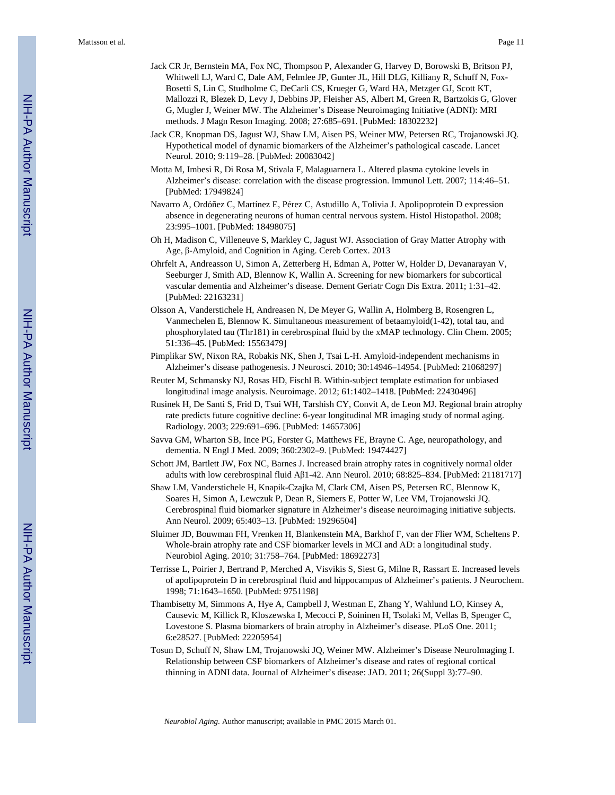- Jack CR Jr, Bernstein MA, Fox NC, Thompson P, Alexander G, Harvey D, Borowski B, Britson PJ, Whitwell LJ, Ward C, Dale AM, Felmlee JP, Gunter JL, Hill DLG, Killiany R, Schuff N, Fox-Bosetti S, Lin C, Studholme C, DeCarli CS, Krueger G, Ward HA, Metzger GJ, Scott KT, Mallozzi R, Blezek D, Levy J, Debbins JP, Fleisher AS, Albert M, Green R, Bartzokis G, Glover G, Mugler J, Weiner MW. The Alzheimer's Disease Neuroimaging Initiative (ADNI): MRI methods. J Magn Reson Imaging. 2008; 27:685–691. [PubMed: 18302232]
- Jack CR, Knopman DS, Jagust WJ, Shaw LM, Aisen PS, Weiner MW, Petersen RC, Trojanowski JQ. Hypothetical model of dynamic biomarkers of the Alzheimer's pathological cascade. Lancet Neurol. 2010; 9:119–28. [PubMed: 20083042]
- Motta M, Imbesi R, Di Rosa M, Stivala F, Malaguarnera L. Altered plasma cytokine levels in Alzheimer's disease: correlation with the disease progression. Immunol Lett. 2007; 114:46–51. [PubMed: 17949824]
- Navarro A, Ordóñez C, Martínez E, Pérez C, Astudillo A, Tolivia J. Apolipoprotein D expression absence in degenerating neurons of human central nervous system. Histol Histopathol. 2008; 23:995–1001. [PubMed: 18498075]
- Oh H, Madison C, Villeneuve S, Markley C, Jagust WJ. Association of Gray Matter Atrophy with Age, β-Amyloid, and Cognition in Aging. Cereb Cortex. 2013
- Ohrfelt A, Andreasson U, Simon A, Zetterberg H, Edman A, Potter W, Holder D, Devanarayan V, Seeburger J, Smith AD, Blennow K, Wallin A. Screening for new biomarkers for subcortical vascular dementia and Alzheimer's disease. Dement Geriatr Cogn Dis Extra. 2011; 1:31–42. [PubMed: 22163231]
- Olsson A, Vanderstichele H, Andreasen N, De Meyer G, Wallin A, Holmberg B, Rosengren L, Vanmechelen E, Blennow K. Simultaneous measurement of betaamyloid(1-42), total tau, and phosphorylated tau (Thr181) in cerebrospinal fluid by the xMAP technology. Clin Chem. 2005; 51:336–45. [PubMed: 15563479]
- Pimplikar SW, Nixon RA, Robakis NK, Shen J, Tsai L-H. Amyloid-independent mechanisms in Alzheimer's disease pathogenesis. J Neurosci. 2010; 30:14946–14954. [PubMed: 21068297]
- Reuter M, Schmansky NJ, Rosas HD, Fischl B. Within-subject template estimation for unbiased longitudinal image analysis. Neuroimage. 2012; 61:1402–1418. [PubMed: 22430496]
- Rusinek H, De Santi S, Frid D, Tsui WH, Tarshish CY, Convit A, de Leon MJ. Regional brain atrophy rate predicts future cognitive decline: 6-year longitudinal MR imaging study of normal aging. Radiology. 2003; 229:691–696. [PubMed: 14657306]
- Savva GM, Wharton SB, Ince PG, Forster G, Matthews FE, Brayne C. Age, neuropathology, and dementia. N Engl J Med. 2009; 360:2302–9. [PubMed: 19474427]
- Schott JM, Bartlett JW, Fox NC, Barnes J. Increased brain atrophy rates in cognitively normal older adults with low cerebrospinal fluid Aβ1-42. Ann Neurol. 2010; 68:825–834. [PubMed: 21181717]
- Shaw LM, Vanderstichele H, Knapik-Czajka M, Clark CM, Aisen PS, Petersen RC, Blennow K, Soares H, Simon A, Lewczuk P, Dean R, Siemers E, Potter W, Lee VM, Trojanowski JQ. Cerebrospinal fluid biomarker signature in Alzheimer's disease neuroimaging initiative subjects. Ann Neurol. 2009; 65:403–13. [PubMed: 19296504]
- Sluimer JD, Bouwman FH, Vrenken H, Blankenstein MA, Barkhof F, van der Flier WM, Scheltens P. Whole-brain atrophy rate and CSF biomarker levels in MCI and AD: a longitudinal study. Neurobiol Aging. 2010; 31:758–764. [PubMed: 18692273]
- Terrisse L, Poirier J, Bertrand P, Merched A, Visvikis S, Siest G, Milne R, Rassart E. Increased levels of apolipoprotein D in cerebrospinal fluid and hippocampus of Alzheimer's patients. J Neurochem. 1998; 71:1643–1650. [PubMed: 9751198]
- Thambisetty M, Simmons A, Hye A, Campbell J, Westman E, Zhang Y, Wahlund LO, Kinsey A, Causevic M, Killick R, Kloszewska I, Mecocci P, Soininen H, Tsolaki M, Vellas B, Spenger C, Lovestone S. Plasma biomarkers of brain atrophy in Alzheimer's disease. PLoS One. 2011; 6:e28527. [PubMed: 22205954]
- Tosun D, Schuff N, Shaw LM, Trojanowski JQ, Weiner MW. Alzheimer's Disease NeuroImaging I. Relationship between CSF biomarkers of Alzheimer's disease and rates of regional cortical thinning in ADNI data. Journal of Alzheimer's disease: JAD. 2011; 26(Suppl 3):77–90.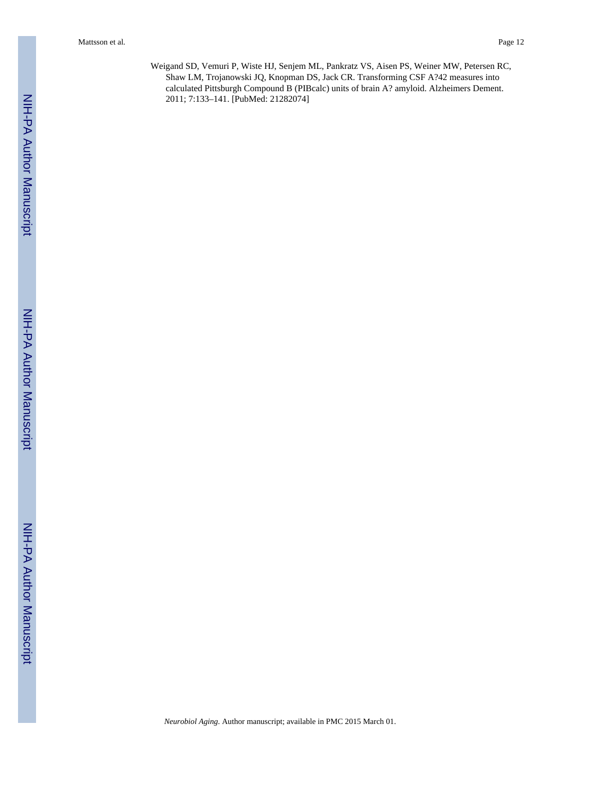Weigand SD, Vemuri P, Wiste HJ, Senjem ML, Pankratz VS, Aisen PS, Weiner MW, Petersen RC, Shaw LM, Trojanowski JQ, Knopman DS, Jack CR. Transforming CSF A?42 measures into calculated Pittsburgh Compound B (PIBcalc) units of brain A? amyloid. Alzheimers Dement. 2011; 7:133–141. [PubMed: 21282074]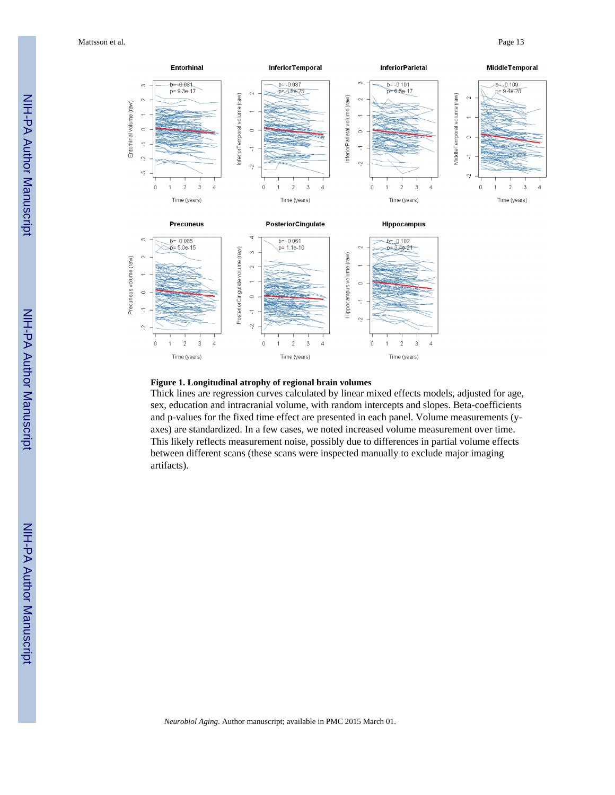

#### **Figure 1. Longitudinal atrophy of regional brain volumes**

Thick lines are regression curves calculated by linear mixed effects models, adjusted for age, sex, education and intracranial volume, with random intercepts and slopes. Beta-coefficients and p-values for the fixed time effect are presented in each panel. Volume measurements (yaxes) are standardized. In a few cases, we noted increased volume measurement over time. This likely reflects measurement noise, possibly due to differences in partial volume effects between different scans (these scans were inspected manually to exclude major imaging artifacts).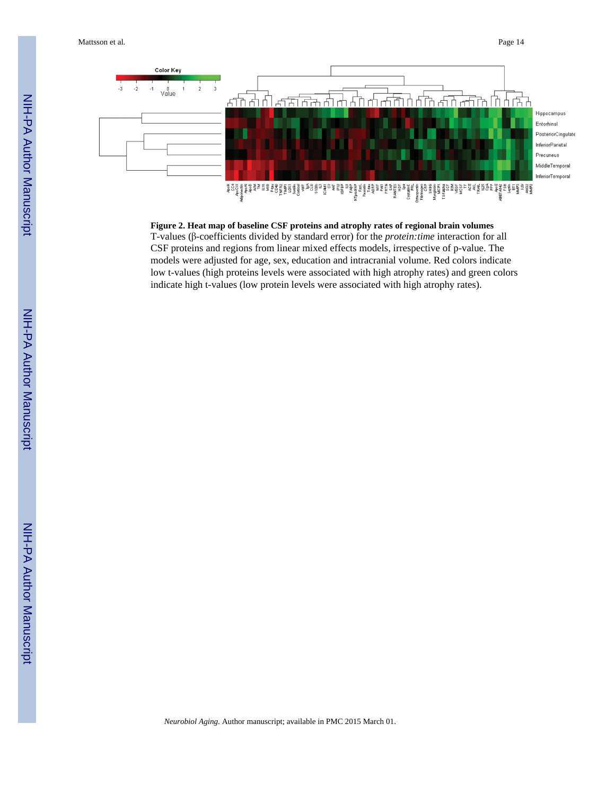

#### **Figure 2. Heat map of baseline CSF proteins and atrophy rates of regional brain volumes**

T-values (β-coefficients divided by standard error) for the *protein:time* interaction for all CSF proteins and regions from linear mixed effects models, irrespective of p-value. The models were adjusted for age, sex, education and intracranial volume. Red colors indicate low t-values (high proteins levels were associated with high atrophy rates) and green colors indicate high t-values (low protein levels were associated with high atrophy rates).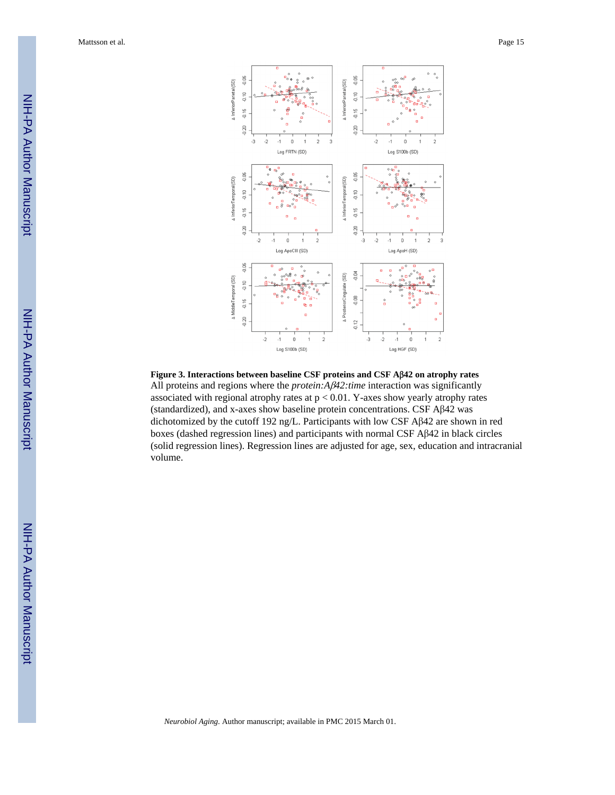

**Figure 3. Interactions between baseline CSF proteins and CSF A**β**42 on atrophy rates** All proteins and regions where the *protein:A*β*42:time* interaction was significantly associated with regional atrophy rates at  $p < 0.01$ . Y-axes show yearly atrophy rates (standardized), and x-axes show baseline protein concentrations. CSF Aβ42 was dichotomized by the cutoff 192 ng/L. Participants with low CSF Aβ42 are shown in red boxes (dashed regression lines) and participants with normal CSF Aβ42 in black circles (solid regression lines). Regression lines are adjusted for age, sex, education and intracranial volume.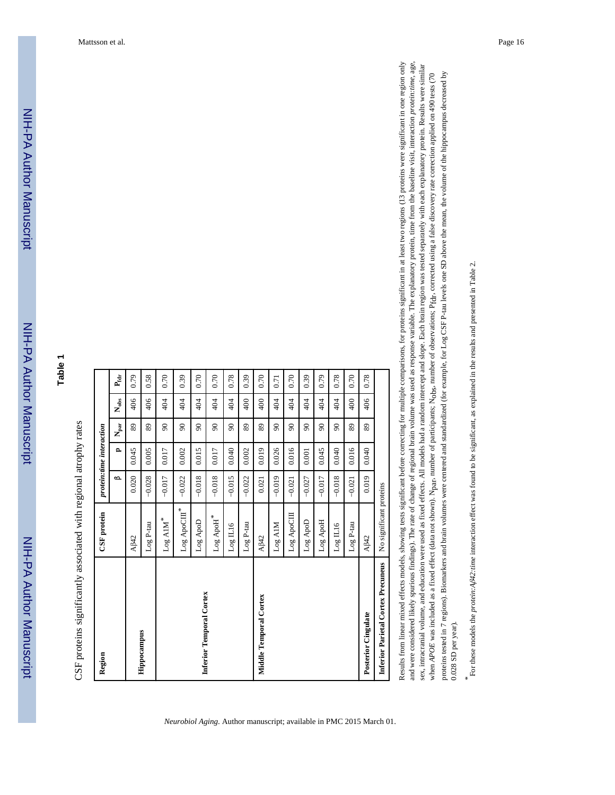| $\frac{3}{1}$                                                                                   |
|-------------------------------------------------------------------------------------------------|
|                                                                                                 |
|                                                                                                 |
|                                                                                                 |
|                                                                                                 |
| E profeins significantly associated with regional atrophy rates<br>ed. process on the community |
|                                                                                                 |
| しくて                                                                                             |

| Region                                    | CSF protein                |          | protein:time interaction |                           |                 |                           |
|-------------------------------------------|----------------------------|----------|--------------------------|---------------------------|-----------------|---------------------------|
|                                           |                            | ه        | $\mathbf{r}$             | $\mathbf{N}_{\text{par}}$ | ${\rm N_{obs}}$ | $\mathbf{P}_{\text{fdr}}$ |
|                                           | A <sub>B42</sub>           | 0.020    | 0.045                    | 89                        | 406             | 0.79                      |
| <b>Hippocampus</b>                        | Log P-tau                  | $-0.028$ | 0.005                    | 89                        | 406             | 0.58                      |
|                                           | $Log AM^*$                 | $-0.017$ | 0.017                    | $8^{\circ}$               | 404             | 0.70                      |
|                                           | $Log$ ApoCIII <sup>*</sup> | $-0.022$ | 0.002                    | $\infty$                  | 404             | 0.39                      |
| Inferior Temporal Cortex                  | Log ApoD                   | $-0.018$ | 0.015                    | $\infty$                  | 404             | 0.70                      |
|                                           | $Log$ ApoH <sup>*</sup>    | $-0.018$ | 0.017                    | $\infty$                  | 404             | 0.70                      |
|                                           | $Log$ IL16                 | $-0.015$ | 0.040                    | $\infty$                  | 404             | 0.78                      |
|                                           | Log P-tau                  | $-0.022$ | 0.002                    | 89                        | 400             | 0.39                      |
| Middle Temporal Cortex                    | A <sub>B42</sub>           | 0.021    | 0.019                    | 89                        | $rac{400}{5}$   | 0.70                      |
|                                           | Log A1M                    | $-0.019$ | 0.026                    | $\infty$                  | 404             | 0.71                      |
|                                           | Log ApoCIII                | $-0.021$ | 0.016                    | $\infty$                  | 404             | 0.70                      |
|                                           | Log ApoD                   | $-0.027$ | $0.001\,$                | $\infty$                  | 404             | 0.39                      |
|                                           | Log ApoH                   | $-0.017$ | 0.045                    | 90                        | 404             | 0.79                      |
|                                           | Log IL16                   | $-0.018$ | 0.040                    | $\infty$                  | 404             | 0.78                      |
|                                           | Log P-tau                  | $-0.021$ | 0.016                    | 89                        | $rac{400}{5}$   | 0.70                      |
| Posterior Cingulate                       | A <sub>B42</sub>           | 0.019    | 0.040                    | 89                        | 406             | 0.78                      |
| <b>Inferior Parietal Cortex Precuneus</b> | No significant proteins    |          |                          |                           |                 |                           |
|                                           |                            |          |                          |                           |                 |                           |

*Neurobiol Aging*. Author manuscript; available in PMC 2015 March 01.

Results from linear mixed effects models, showing tests significant before correcting for multiple comparisons, for proteins significant in at least two regions (13 proteins were significant in one region only Results from linear mixed effects models, showing tests significant before correcting for multiple comparisons, for proteins significant in at least two regions (13 proteins were significant in one region only and were considered likely spurious findings). The rate of change of regional brain volume was used as response variable. The explanatory protein, time from the baseline visit, interaction protein: time, age, and were considered likely spurious findings). The rate of change of regional brain volume was used as response variable. The explanatory protein, time from the baseline visit, interaction *protein:time,* age, sex, intracranial volume, and education were used as fixed effects. All models had a random intercept and slope. Each brain region was tested separately with each explanatory protein. Results were similar sex, intracranial volume, and education were used as fixed effects. All models had a random intercept and slope. Each brain region was tested separately with each explanatory protein. Results were similar when APOE was included as a fixed effect (data not shown). Npar, number of participants; Nobs, number of observations; Prdr, corrected using a false discovery rate correction applied on 490 tests (70 proteins tested in 7 regions). Biomarkers and brain volumes were centered and standardized (for example, for Log CSF P-tau levels one SD above the mean, the volume of the hippocampus decreased by proteins tested in 7 regions). Biomarkers and brain volumes were centered and standardized (for example, for Log CSF P-tau levels one SD above the mean, the volume of the hippocampus decreased by when *APOE* was included as a fixed effect (data not shown). Npar, number of participants; N<sub>Obs</sub>, number of observations; Pfdr, corrected using a false discovery rate correction applied on 490 tests (70  $0.028$  SD per year). 0.028 SD per year).

<sup>\*</sup> For these models the *protein:AfH2:time* interaction effect was found to be significant, as explained in the results and presented in Table 2. For these models the *protein:A* β*42:time* interaction effect was found to be significant, as explained in the results and presented in Table 2.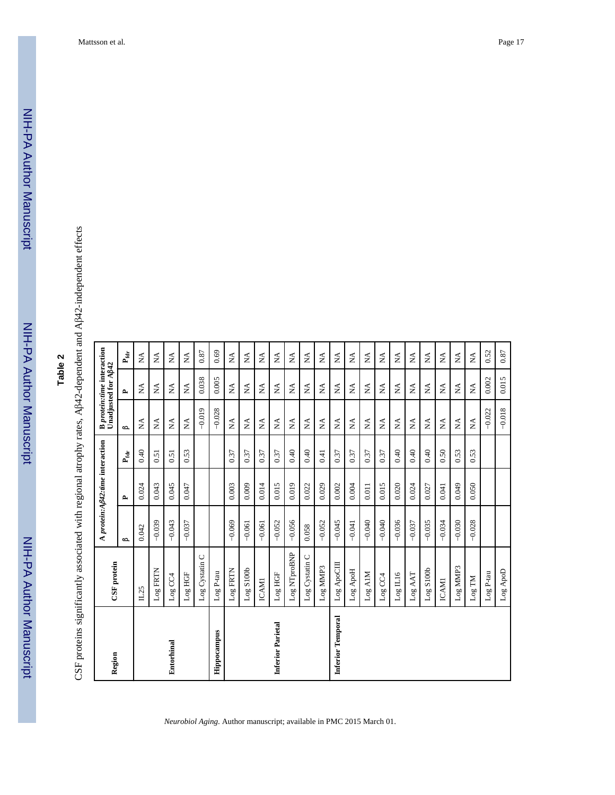# **Table 2**

CSF proteins significantly associated with regional atrophy rates, Aß42-dependent and Aß42-independent effects CSF proteins significantly associated with regional atrophy rates, Aβ42-dependent and Aβ42-independent effects

| Region                   | <b>CSF</b> protein  |           | A protein: A B42:time interaction |                           |                                     | B protein:time interaction<br>Unadjusted for A <sub>B42</sub> |                                     |
|--------------------------|---------------------|-----------|-----------------------------------|---------------------------|-------------------------------------|---------------------------------------------------------------|-------------------------------------|
|                          |                     | $\bullet$ | $\sim$                            | $\mathbf{P}_{\text{fdr}}$ | $\bullet$                           | $\mathbf{r}$                                                  | $\mathbf{P}_{\text{fdr}}$           |
|                          | IL25                | 0.042     | 0.024                             | 0.40                      | $\stackrel{\triangle}{\simeq}$      | $\mathbb{E}$                                                  | $\lesssim$                          |
|                          | Log FRTN            | $-0.039$  | 0.043                             | 0.51                      | $\mathbb{X}^{\mathsf{A}}$           | Ź                                                             | $\lessapprox$                       |
| Entorhinal               | Log CC4             | $-0.043$  | 0.045                             | 0.51                      | $\stackrel{\triangle}{\geq}$        | $\sum_{i=1}^{n}$                                              | $\tilde{\mathbf{z}}$                |
|                          | $Log HGF$           | $-0.037$  | 0.047                             | 0.53                      | $\stackrel{\blacktriangle}{\simeq}$ | $\mathbb{E}$                                                  | $\mathbb{Z}^4$                      |
|                          | Log Cystatin C      |           |                                   |                           | $-0.019$                            | 0.038                                                         | 0.87                                |
| <b>Hippocampus</b>       | Log P-tau           |           |                                   |                           | $-0.028$                            | 0.005                                                         | 0.69                                |
|                          | Log FRTN            | $-0.069$  | 0.003                             | 0.37                      | $\stackrel{\blacktriangle}{\simeq}$ | $\mathbb{E}$                                                  | $\mathbb{E}$                        |
|                          | $Log$ S100b         | $-0.061$  | 0.009                             | 0.37                      | $\mathbb{E}^{\mathsf{A}}$           | $\mathbb{E}$                                                  | $\lesssim$                          |
|                          | <b>ICAM1</b>        | $-0.061$  | 0.014                             | 0.37                      | $\stackrel{\triangle}{\geq}$        | $\sum_{i=1}^{n}$                                              | $\tilde{\mathbf{z}}$                |
| <b>Inferior Parietal</b> | $Log HGF$           | $-0.052$  | 0.015                             | 0.37                      | $\stackrel{\blacktriangle}{\simeq}$ | $\mathbb{E}$                                                  | $\lessapprox$                       |
|                          | Log NTproBNP        | $-0.056$  | 0.019                             | 0.40                      | $\stackrel{\triangle}{\simeq}$      | $\mathbb{E}$                                                  | $\lesssim$                          |
|                          | Log Cystatin C      | 0.058     | 0.022                             | 0.40                      | $\stackrel{\triangle}{\simeq}$      | $\mathbb{E}$                                                  | $\lessapprox$                       |
|                          | Log MMP3            | $-0.052$  | 0.029                             | 0.41                      | $\stackrel{\triangle}{\geq}$        | $\sum_{i=1}^{n}$                                              | $\lessapprox$                       |
| <b>Inferior Temporal</b> | Log ApoCIII         | $-0.045$  | $0.002\,$                         | 0.37                      | $\mathop{\simeq}_\mathbf{Z}$        | Ź                                                             | $\stackrel{\blacktriangle}{\simeq}$ |
|                          | Log ApoH            | $-0.041$  | 0.004                             | 0.37                      | $\stackrel{\blacktriangle}{\simeq}$ | $\mathbb{E}$                                                  | $\lesssim$                          |
|                          | Log A <sub>IM</sub> | $-0.040$  | 0.011                             | 0.37                      | $\stackrel{\blacktriangle}{\simeq}$ | $\boldsymbol{\hat{\Sigma}}$                                   | $\lessapprox$                       |
|                          | Log <sub>CC4</sub>  | $-0.040$  | 0.015                             | 0.37                      | $\stackrel{\blacktriangle}{\simeq}$ | $\lessapprox$                                                 | $\lesssim$                          |
|                          | $Log$ IL16          | $-0.036$  | 0.020                             | 0.40                      | $\stackrel{\triangle}{\simeq}$      | $\lessapprox$                                                 | $\lesssim$                          |
|                          | Log AAT             | $-0.037$  | 0.024                             | 0.40                      | $\mathop{\simeq}_\mathbf{Z}$        | $\boldsymbol{\hat{\Sigma}}$                                   | $\lesssim$                          |
|                          | $Log$ S100b         | $-0.035$  | 0.027                             | 0.40                      | $\stackrel{\triangle}{\geq}$        | $\mathbb{E}$                                                  | $\boldsymbol{\Sigma}$               |
|                          | <b>ICAM1</b>        | $-0.034$  | 0.041                             | 0.50                      | $\stackrel{\triangle}{\simeq}$      | $\stackrel{\triangle}{\scriptstyle\sim}$                      | $\stackrel{\triangle}{\geq}$        |
|                          | Log MMP3            | $-0.030$  | 0.049                             | 0.53                      | $\stackrel{\triangle}{\geq}$        | $\sum_{i=1}^{n}$                                              | $\boldsymbol{\hat{\Sigma}}$         |
|                          | Log TM              | $-0.028$  | 0.050                             | 0.53                      | $\stackrel{\blacktriangle}{\simeq}$ | $\lessapprox$                                                 | $\lesssim$                          |
|                          | Log P-tau           |           |                                   |                           | $-0.022$                            | 0.002                                                         | 0.52                                |
|                          | Log ApoD            |           |                                   |                           | $-0.018$                            | 0.015                                                         | 0.87                                |